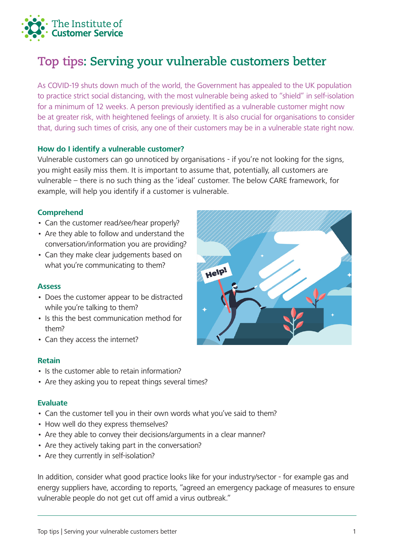

# **Top tips: Serving your vulnerable customers better**

As COVID-19 shuts down much of the world, the Government has appealed to the UK population to practice strict social distancing, with the most vulnerable being asked to "shield" in self-isolation for a minimum of 12 weeks. A person previously identified as a vulnerable customer might now be at greater risk, with heightened feelings of anxiety. It is also crucial for organisations to consider that, during such times of crisis, any one of their customers may be in a vulnerable state right now.

#### **How do I identify a vulnerable customer?**

Vulnerable customers can go unnoticed by organisations - if you're not looking for the signs, you might easily miss them. It is important to assume that, potentially, all customers are vulnerable – there is no such thing as the 'ideal' customer. The below CARE framework, for example, will help you identify if a customer is vulnerable.

## **Comprehend**

- Can the customer read/see/hear properly?
- Are they able to follow and understand the conversation/information you are providing?
- Can they make clear judgements based on what you're communicating to them?

#### **Assess**

- Does the customer appear to be distracted while you're talking to them?
- Is this the best communication method for them?
- Can they access the internet?

#### **Retain**

- Is the customer able to retain information?
- Are they asking you to repeat things several times?

#### **Evaluate**

- Can the customer tell you in their own words what you've said to them?
- How well do they express themselves?
- Are they able to convey their decisions/arguments in a clear manner?
- Are they actively taking part in the conversation?
- Are they currently in self-isolation?

In addition, consider what good practice looks like for your industry/sector - for example gas and energy suppliers have, according to reports, "agreed an emergency package of measures to ensure vulnerable people do not get cut off amid a virus outbreak."

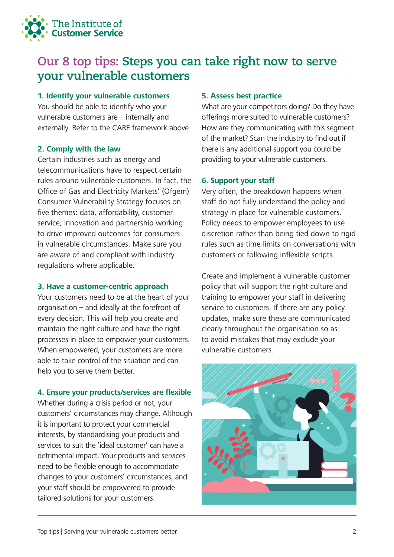

## **Our 8 top tips: Steps you can take right now to serve your vulnerable customers**

## **1. Identify your vulnerable customers**

You should be able to identify who your vulnerable customers are – internally and externally. Refer to the CARE framework above.

## **2. Comply with the law**

Certain industries such as energy and telecommunications have to respect certain rules around vulnerable customers. In fact, the Office of Gas and Electricity Markets' (Ofgem) Consumer Vulnerability Strategy focuses on five themes: data, affordability, customer service, innovation and partnership working to drive improved outcomes for consumers in vulnerable circumstances. Make sure you are aware of and compliant with industry regulations where applicable.

## **3. Have a customer-centric approach**

Your customers need to be at the heart of your organisation – and ideally at the forefront of every decision. This will help you create and maintain the right culture and have the right processes in place to empower your customers. When empowered, your customers are more able to take control of the situation and can help you to serve them better.

## **4. Ensure your products/services are flexible**

Whether during a crisis period or not, your customers' circumstances may change. Although it is important to protect your commercial interests, by standardising your products and services to suit the 'ideal customer' can have a detrimental impact. Your products and services need to be flexible enough to accommodate changes to your customers' circumstances, and your staff should be empowered to provide tailored solutions for your customers.

## **5. Assess best practice**

What are your competitors doing? Do they have offerings more suited to vulnerable customers? How are they communicating with this segment of the market? Scan the industry to find out if there is any additional support you could be providing to your vulnerable customers.

## **6. Support your staff**

Very often, the breakdown happens when staff do not fully understand the policy and strategy in place for vulnerable customers. Policy needs to empower employees to use discretion rather than being tied down to rigid rules such as time-limits on conversations with customers or following inflexible scripts.

Create and implement a vulnerable customer policy that will support the right culture and training to empower your staff in delivering service to customers. If there are any policy updates, make sure these are communicated clearly throughout the organisation so as to avoid mistakes that may exclude your vulnerable customers.